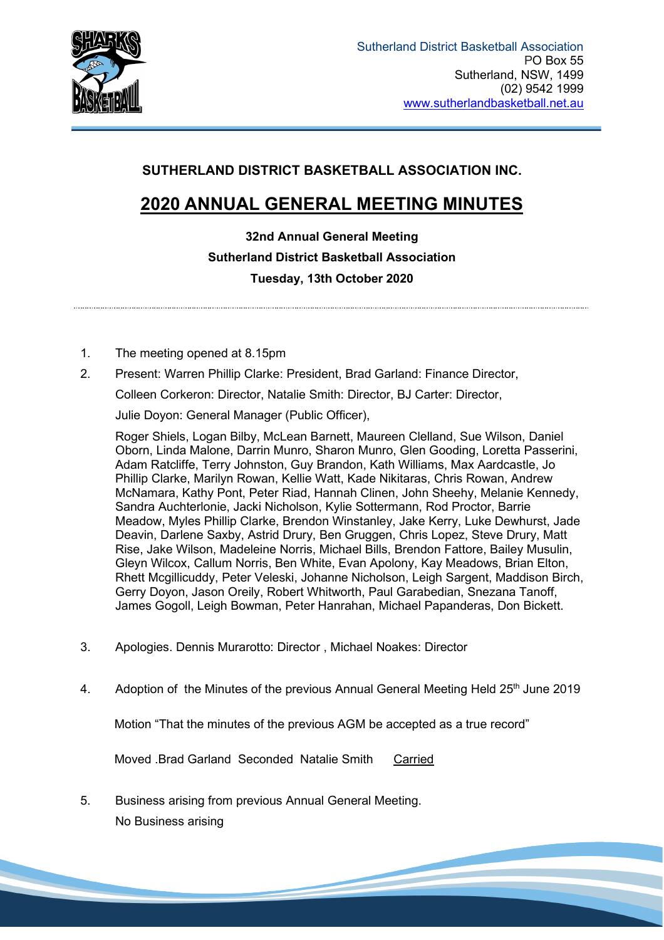

# **SUTHERLAND DISTRICT BASKETBALL ASSOCIATION INC.**

# **2020 ANNUAL GENERAL MEETING MINUTES**

**32nd Annual General Meeting Sutherland District Basketball Association Tuesday, 13th October 2020**

- 1. The meeting opened at 8.15pm
- 2. Present: Warren Phillip Clarke: President, Brad Garland: Finance Director,

Colleen Corkeron: Director, Natalie Smith: Director, BJ Carter: Director,

Julie Doyon: General Manager (Public Officer),

Roger Shiels, Logan Bilby, McLean Barnett, Maureen Clelland, Sue Wilson, Daniel Oborn, Linda Malone, Darrin Munro, Sharon Munro, Glen Gooding, Loretta Passerini, Adam Ratcliffe, Terry Johnston, Guy Brandon, Kath Williams, Max Aardcastle, Jo Phillip Clarke, Marilyn Rowan, Kellie Watt, Kade Nikitaras, Chris Rowan, Andrew McNamara, Kathy Pont, Peter Riad, Hannah Clinen, John Sheehy, Melanie Kennedy, Sandra Auchterlonie, Jacki Nicholson, Kylie Sottermann, Rod Proctor, Barrie Meadow, Myles Phillip Clarke, Brendon Winstanley, Jake Kerry, Luke Dewhurst, Jade Deavin, Darlene Saxby, Astrid Drury, Ben Gruggen, Chris Lopez, Steve Drury, Matt Rise, Jake Wilson, Madeleine Norris, Michael Bills, Brendon Fattore, Bailey Musulin, Gleyn Wilcox, Callum Norris, Ben White, Evan Apolony, Kay Meadows, Brian Elton, Rhett Mcgillicuddy, Peter Veleski, Johanne Nicholson, Leigh Sargent, Maddison Birch, Gerry Doyon, Jason Oreily, Robert Whitworth, Paul Garabedian, Snezana Tanoff, James Gogoll, Leigh Bowman, Peter Hanrahan, Michael Papanderas, Don Bickett.

- 3. Apologies. Dennis Murarotto: Director , Michael Noakes: Director
- 4. Adoption of the Minutes of the previous Annual General Meeting Held 25<sup>th</sup> June 2019

 $\overline{\phantom{a}}$ 

Motion "That the minutes of the previous AGM be accepted as a true record"

Moved .Brad Garland Seconded Natalie Smith Carried

5. Business arising from previous Annual General Meeting. No Business arising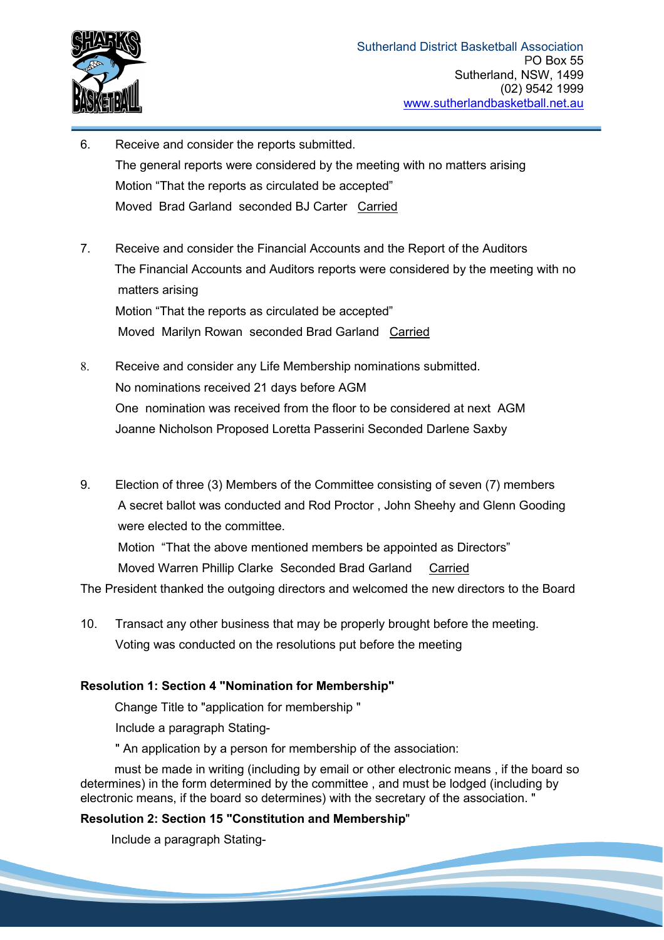

- 6. Receive and consider the reports submitted. The general reports were considered by the meeting with no matters arising Motion "That the reports as circulated be accepted" Moved Brad Garland seconded BJ Carter Carried
- 7. Receive and consider the Financial Accounts and the Report of the Auditors The Financial Accounts and Auditors reports were considered by the meeting with no matters arising Motion "That the reports as circulated be accepted" Moved Marilyn Rowan seconded Brad Garland Carried
- 8. Receive and consider any Life Membership nominations submitted. No nominations received 21 days before AGM One nomination was received from the floor to be considered at next AGM Joanne Nicholson Proposed Loretta Passerini Seconded Darlene Saxby
- 9. Election of three (3) Members of the Committee consisting of seven (7) members A secret ballot was conducted and Rod Proctor , John Sheehy and Glenn Gooding were elected to the committee.

 Motion "That the above mentioned members be appointed as Directors" Moved Warren Phillip Clarke Seconded Brad Garland Carried

The President thanked the outgoing directors and welcomed the new directors to the Board

10. Transact any other business that may be properly brought before the meeting. Voting was conducted on the resolutions put before the meeting

#### **Resolution 1: Section 4 "Nomination for Membership"**

Change Title to "application for membership "

Include a paragraph Stating-

" An application by a person for membership of the association:

 must be made in writing (including by email or other electronic means , if the board so determines) in the form determined by the committee , and must be lodged (including by electronic means, if the board so determines) with the secretary of the association. "

# **Resolution 2: Section 15 "Constitution and Membership**"

Include a paragraph Stating-